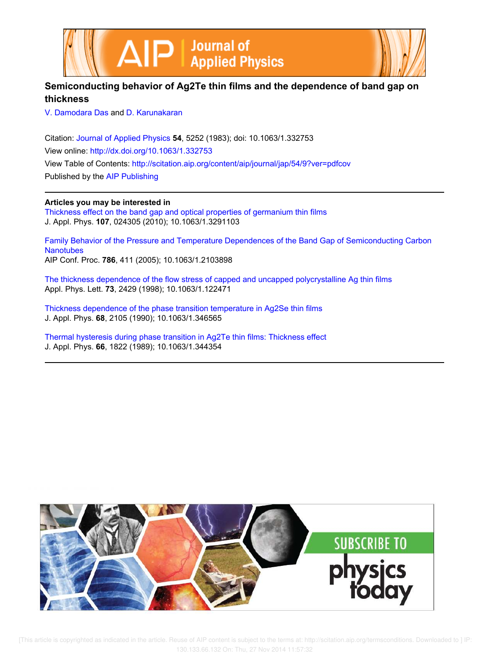



# **Semiconducting behavior of Ag2Te thin films and the dependence of band gap on thickness**

V. Damodara Das and D. Karunakaran

Citation: Journal of Applied Physics **54**, 5252 (1983); doi: 10.1063/1.332753 View online: http://dx.doi.org/10.1063/1.332753 View Table of Contents: http://scitation.aip.org/content/aip/journal/jap/54/9?ver=pdfcov Published by the AIP Publishing

**Articles you may be interested in**

Thickness effect on the band gap and optical properties of germanium thin films J. Appl. Phys. **107**, 024305 (2010); 10.1063/1.3291103

Family Behavior of the Pressure and Temperature Dependences of the Band Gap of Semiconducting Carbon **Nanotubes** AIP Conf. Proc. **786**, 411 (2005); 10.1063/1.2103898

The thickness dependence of the flow stress of capped and uncapped polycrystalline Ag thin films Appl. Phys. Lett. **73**, 2429 (1998); 10.1063/1.122471

Thickness dependence of the phase transition temperature in Ag2Se thin films J. Appl. Phys. **68**, 2105 (1990); 10.1063/1.346565

Thermal hysteresis during phase transition in Ag2Te thin films: Thickness effect J. Appl. Phys. **66**, 1822 (1989); 10.1063/1.344354

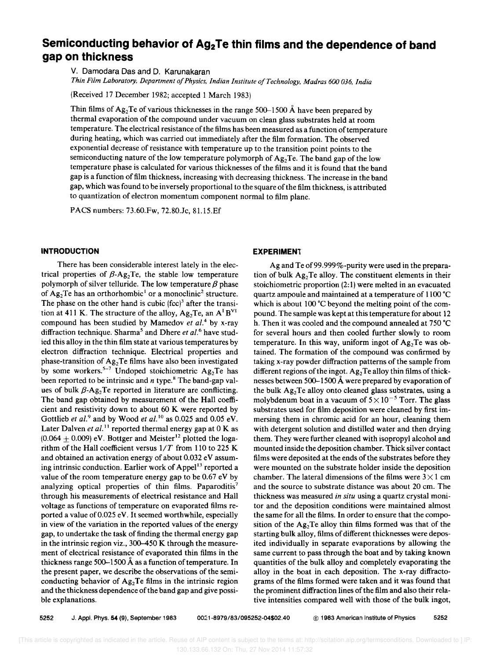# **Semiconducting behavior of Ag2 Te thin films and the dependence of band gap on thickness**

v. Oamodara Oas and O. Karunakaran

*Thin Film Laboratory, Department 0/ Physics, Indian Institute o/Technology, Madras 600 036, India* 

(Received 17 December 1982; accepted 1 March 1983)

Thin films of  $Ag_2Te$  of various thicknesses in the range 500-1500 Å have been prepared by thermal evaporation of the compound under vacuum on clean glass substrates held at room temperature. The electrical resistance of the films has been measured as a function of temperature during heating, which was carried out immediately after the film formation. The observed exponential decrease of resistance with temperature up to the transition point points to the semiconducting nature of the low temperature polymorph of  $Ag_2Te$ . The band gap of the low temperature phase is calculated for various thicknesses of the films and it is found that the band gap is a function of film thickness, increasing with decreasing thickness. The increase in the band gap, which was found to be inversely proportional to the square of the film thickness, is attributed to quantization of electron momentum component normal to film plane.

PACS numbers: 73.60.Fw, *n.80.Jc,* 81.15.Ef

#### **INTRODUCTION**

There has been considerable interest lately in the electrical properties of  $\beta$ -Ag<sub>2</sub>Te, the stable low temperature polymorph of silver telluride. The low temperature  $\beta$  phase of  $Ag_2Te$  has an orthorhombic<sup>1</sup> or a monoclinic<sup>2</sup> structure. The phase on the other hand is cubic  $(fcc)^3$  after the transition at 411 K. The structure of the alloy,  $Ag_2Te$ , an  $A<sup>T</sup>B<sup>VI</sup>$ compound has been studied by Mamedov et al.<sup>4</sup> by x-ray diffraction technique. Sharma<sup>5</sup> and Dhere *et al.*<sup>6</sup> have studied this alloy in the thin film state at various temperatures by electron diffraction technique. Electrical properties and phase-transition of  $Ag<sub>2</sub>Te$  films have also been investigated by some workers.<sup>5-7</sup> Undoped stoichiometric  $A_{g_2}Te$  has been reported to be intrinsic and *n* type.<sup>8</sup> The band-gap values of bulk  $\beta$ -Ag<sub>2</sub>Te reported in literature are conflicting. The band gap obtained by measurement of the Hall coefficient and resistivity down to about 60 K were reported by Gottlieb et al.<sup>9</sup> and by Wood et al.<sup>10</sup> as 0.025 and 0.05 eV. Later Dalven *et al.*<sup>11</sup> reported thermal energy gap at 0 K as  $(0.064 \pm 0.009)$  eV. Bottger and Meister<sup>12</sup> plotted the logarithm of the Hall coefficient versus  $1/T$  from 110 to 225 K and obtained an activation energy of about 0.032 eV assuming intrinsic conduction. Earlier work of Appel<sup>13</sup> reported a value of the room temperature energy gap to be 0.67 eV by analyzing optical properties of thin films. Paparoditis<sup>7</sup> through his measurements of electrical resistance and Hall voltage as functions of temperature on evaporated films reported a value of 0.025 eV. It seemed worthwhile, especially in view of the variation in the reported values of the energy gap, to undertake the task of finding the thermal energy gap in the intrinsic region viz., 300-450 K through the measurement of electrical resistance of evaporated thin films in the thickness range 500-1500 A as a function of temperature. In the present paper, we describe the observations of the semiconducting behavior of  $Ag<sub>2</sub>Te$  films in the intrinsic region and the thickness dependence of the band gap and give possible explanations.

# **EXPERIMENT**

Ag and Te of 99.999%-purity were used in the preparation of bulk  $Ag<sub>2</sub>Te$  alloy. The constituent elements in their stoichiometric proportion (2: 1) were melted in an evacuated quartz ampoule and maintained at a temperature of 1100 °C which is about 100 °C beyond the melting point of the compound. The sample was kept at this temperature for about 12 h. Then it was cooled and the compound annealed at 750°C for several hours and then cooled further slowly to room temperature. In this way, uniform ingot of  $Ag<sub>2</sub>Te$  was obtained. The formation of the compound was confirmed by taking x-ray powder diffraction patterns of the sample from different regions of the ingot.  $Ag_2Te$  alloy thin films of thicknesses between 500-1500 A were prepared by evaporation of the bulk  $Ag<sub>2</sub>Te$  alloy onto cleaned glass substrates, using a molybdenum boat in a vacuum of  $5 \times 10^{-5}$  Torr. The glass substrates used for film deposition were cleaned by first immersing them in chromic acid for an hour, cleaning them with detergent solution and distilled water and then drying them. They were further cleaned with isopropyl alcohol and mounted inside the deposition chamber. Thick silver contact films were deposited at the ends of the substrates before they were mounted on the substrate holder inside the deposition chamber. The lateral dimensions of the films were  $3 \times 1$  cm and the source to substrate distance was about 20 cm. The thickness was measured *in situ* using a quartz crystal monitor and the deposition conditions were maintained almost the same for all the films. In order to ensure that the composition of the  $Ag_2Te$  alloy thin films formed was that of the starting bulk alloy, films of different thicknesses were deposited individually in separate evaporations by allowing the same current to pass through the boat and by taking known quantities of the bulk alloy and completely evaporating the alloy in the boat in each deposition. The x-ray diffractograms of the films formed were taken and it was found that the prominent diffraction lines of the film and also their relative intensities compared well with those of the bulk ingot,

5252 J. Appl. Phys. **54** (9), September 1983 0021-8979/83/095252-04\$02.40 @ 1983 American Institute of Physics 5252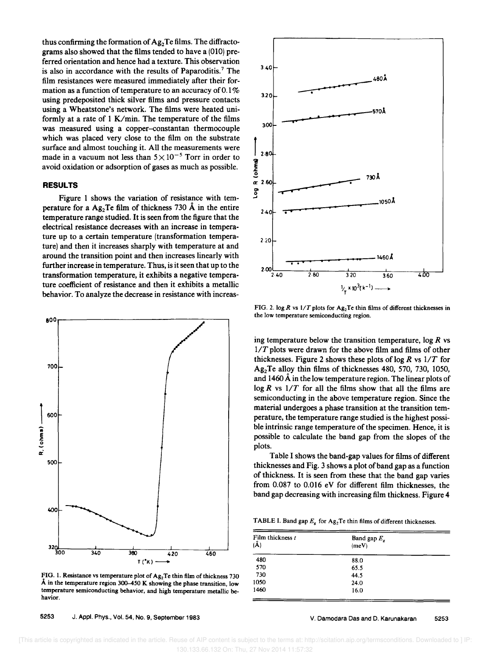thus confirming the formation of  $Ag_2Te$  films. The diffractograms also showed that the films tended to have a (010) preferred orientation and hence had a texture. This observation is also in accordance with the results of Paparoditis.<sup>7</sup> The film resistances were measured immediately after their formation as a function of temperature to an accuracy of 0.1% using predeposited thick silver films and pressure contacts using a Wheatstone's network. The films were heated uniformly at a rate of 1 K/min. The temperature of the films was measured using a copper-constantan thermocouple which was placed very close to the film on the substrate surface and almost touching it. All the measurements were made in a vacuum not less than  $5 \times 10^{-5}$  Torr in order to avoid oxidation or adsorption of gases as much as possible.

#### **RESULTS**

Figure 1 shows the variation of resistance with temperature for a  $Ag<sub>2</sub>Te$  film of thickness 730 Å in the entire temperature range studied. It is seen from the figure that the electrical resistance decreases with an increase in temperature up to a certain temperature (transformation temperature) and then it increases sharply with temperature at and around the transition point and then increases linearly with further increase in temperature. Thus, is it seen that up to the transformation temperature, it exhibits a negative temperature coefficient of resistance and then it exhibits a metallic behavior. To analyze the decrease in resistance with increas-



FIG. 1. Resistance vs temperature plot of  $Ag_2Te$  thin film of thickness 730  $\AA$  in the temperature region 300-450 K showing the phase transition, low temperature semiconducting behavior, and high temperature metallic behavior.

5253 J. Appl. Phys., Vol. 54, No.9, September 1983



FIG. 2. log  $R$  vs  $1/T$  plots for  $Ag_2Te$  thin films of different thicknesses in the low temperature semiconducting region.

ing temperature below the transition temperature, log *R* vs *l/T* plots were drawn for the above film and films of other thicknesses. Figure 2 shows these plots of  $\log R$  vs  $1/T$  for Ag2Te alloy thin films of thicknesses 480, 570, 730, 1050, and 1460 Å in the low temperature region. The linear plots of  $log R$  vs  $1/T$  for all the films show that all the films are semiconducting in the above temperature region. Since the material undergoes a phase transition at the transition temperature, the temperature range studied is the highest possible intrinsic range temperature of the specimen. Hence, it is possible to calculate the band gap from the slopes of the plots.

Table I shows the band-gap values for films of different thicknesses and Fig. 3 shows a plot of band gap as a function of thickness. It is seen from these that the band gap varies from 0.087 to 0.016 eV for different film thicknesses, the band gap decreasing with increasing film thickness. Figure 4

TABLE I. Band gap  $E_g$  for Ag<sub>2</sub>Te thin films of different thicknesses.

| Film thickness t<br>$\mathsf{(\AA)}$ | Band gap $E_a$<br>(meV) |  |
|--------------------------------------|-------------------------|--|
| 480                                  | 88.0                    |  |
| 570                                  | 65.5                    |  |
| 730                                  | 44.5                    |  |
| 1050                                 | 24.0                    |  |
| 1460                                 | 16.0                    |  |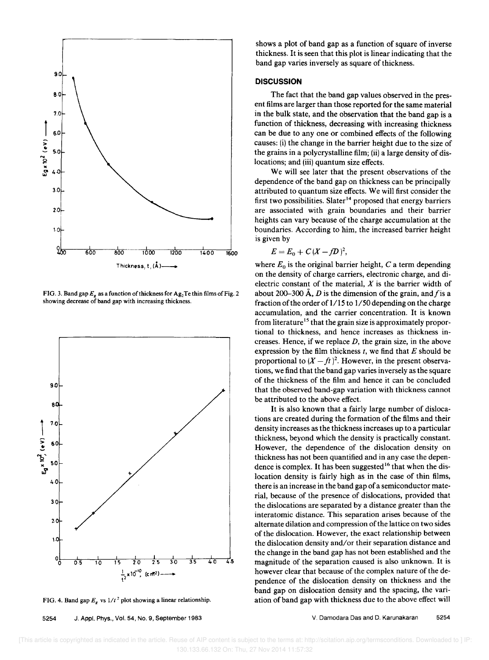

FIG. 3. Band gap  $E_g$  as a function of thickness for  $Ag_2Te$  thin films of Fig. 2 showing decrease of band gap with increasing thickness.



FIG. 4. Band gap  $E_e$ , vs  $1/t^2$  plot showing a linear relationship.

shows a plot of band gap as a function of square of inverse thickness. It is seen that this plot is linear indicating that the band gap varies inversely as square of thickness.

### **DISCUSSION**

The fact that the band gap values observed in the present films are larger than those reported for the same material in the bulk state, and the observation that the band gap is a function of thickness, decreasing with increasing thickness can be due to anyone or combined effects of the following causes: (i) the change in the barrier height due to the size of the grains in a polycrystalline film; (ii) a large density of dislocations; and (iii) quantum size effects.

We will see later that the present observations of the dependence of the band gap on thickness can be principally attributed to quantum size effects. We will first consider the first two possibilities. Slater<sup>14</sup> proposed that energy barriers are associated with grain boundaries and their barrier heights can vary because of the charge accumulation at the boundaries. According to him, the increased barrier height is given by

$$
E=E_0+C\,(X-fD)^2,
$$

where  $E_0$  is the original barrier height,  $C$  a term depending on the density of charge carriers, electronic charge, and dielectric constant of the material,  $X$  is the barrier width of about 200–300  $\AA$ , *D* is the dimension of the grain, and *f* is a fraction of the order of 1/15 to 1/50 depending on the charge accumulation, and the carrier concentration. It is known from literature<sup>15</sup> that the grain size is approximately proportional to thickness, and hence increases as thickness increases. Hence, if we replace  $D$ , the grain size, in the above expression by the film thickness *t,* we find that E should be proportional to  $(X - ft)^2$ . However, in the present observations, we find that the band gap varies inversely as the square of the thickness of the film and hence it can be concluded that the observed band-gap variation with thickness cannot be attributed to the above effect.

It is also known that a fairly large number of dislocations are created during the formation of the films and their density increases as the thickness increases up to a particular thickness, beyond which the density is practically constant. However, the dependence of the dislocation density on thickness has not been quantified and in any case the dependence is complex. It has been suggested<sup>16</sup> that when the dislocation density is fairly high as in the case of thin films, there is an increase in the band gap of a semiconductor material, because of the presence of dislocations, provided that the dislocations are separated by a distance greater than the interatomic distance. This separation arises because of the alternate dilation and compression of the lattice on two sides of the dislocation. However, the exact relationship between the dislocation density and/or their separation distance and the change in the band gap has not been established and the magnitude of the separation caused is also unknown. It is however clear that because of the complex nature of the dependence of the dislocation density on thickness and the band gap on dislocation density and the spacing, the variation of band gap with thickness due to the above effect will